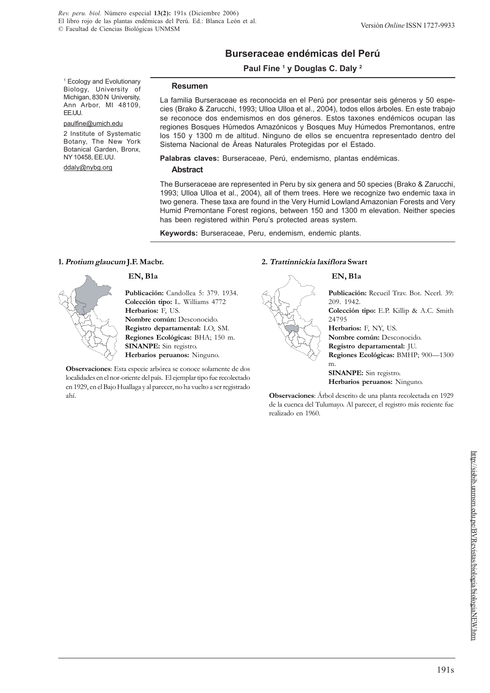# **Burseraceae endémicas del Perú**

# **Paul Fine 1 y Douglas C. Daly 2**

1 Ecology and Evolutionary Biology, University of Michigan, 830 N University, Ann Arbor, MI 48109, EE.UU.

#### paulfine@umich.edu

2 Institute of Systematic Botany, The New York Botanical Garden, Bronx, NY 10458, EE.UU.

ddaly@nybg.org

#### **Resumen**

La familia Burseraceae es reconocida en el Perú por presentar seis géneros y 50 especies (Brako & Zarucchi, 1993; Ulloa Ulloa et al., 2004), todos ellos árboles. En este trabajo se reconoce dos endemismos en dos géneros. Estos taxones endémicos ocupan las regiones Bosques Húmedos Amazónicos y Bosques Muy Húmedos Premontanos, entre los 150 y 1300 m de altitud. Ninguno de ellos se encuentra representado dentro del Sistema Nacional de Áreas Naturales Protegidas por el Estado.

**Palabras claves:** Burseraceae, Perú, endemismo, plantas endémicas.

#### **Abstract**

The Burseraceae are represented in Peru by six genera and 50 species (Brako & Zarucchi, 1993; Ulloa Ulloa et al., 2004), all of them trees. Here we recognize two endemic taxa in two genera. These taxa are found in the Very Humid Lowland Amazonian Forests and Very Humid Premontane Forest regions, between 150 and 1300 m elevation. Neither species has been registered within Peru's protected areas system.

**Keywords:** Burseraceae, Peru, endemism, endemic plants.

#### **1. Protium glaucum J.F. Macbr.**

 **EN, B1a**

**Publicación:** Candollea 5: 379. 1934. **Colección tipo:** L. Williams 4772 **Herbarios:** F, US. **Nombre común:** Desconocido. **Registro departamental:** LO, SM. **Regiones Ecológicas:** BHA; 150 m. **SINANPE:** Sin registro. **Herbarios peruanos:** Ninguno.

**Observaciones**: Esta especie arbórea se conoce solamente de dos localidades en el nor-oriente del país. El ejemplar tipo fue recolectado en 1929, en el Bajo Huallaga y al parecer, no ha vuelto a ser registrado ahí.

# **2. Trattinnickia laxiflora Swart**

# **EN, B1a**



**Colección tipo:** E.P. Killip & A.C. Smith 24795

**Herbarios:** F, NY, US. **Nombre común:** Desconocido. **Registro departamental:** JU. **Regiones Ecológicas:** BMHP; 900—1300 m.

**SINANPE:** Sin registro. **Herbarios peruanos:** Ninguno.

**Observaciones**: Árbol descrito de una planta recolectada en 1929 de la cuenca del Tulumayo. Al parecer, el registro más reciente fue realizado en 1960.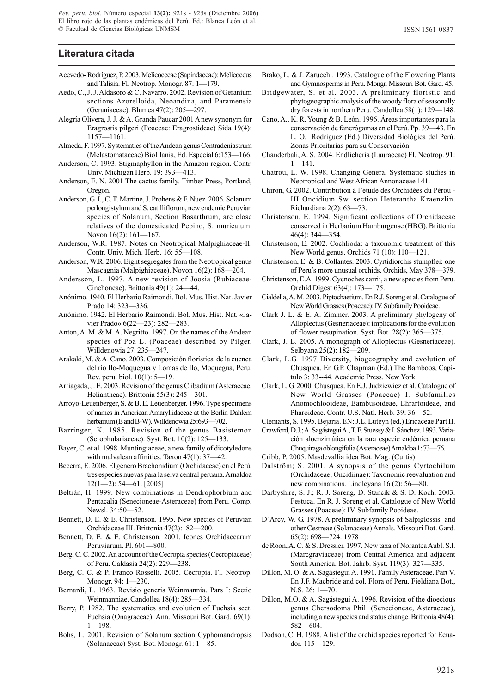# **Literatura citada**

- Acevedo- Rodríguez, P. 2003. Melicocceae (Sapindaceae): Melicoccus and Talisia. Fl. Neotrop. Monogr. 87: 1—179.
- Aedo, C., J. J. Aldasoro & C. Navarro. 2002. Revision of Geranium sections Azorelloida, Neoandina, and Paramensia (Geraniaceae). Blumea 47(2): 205—297.
- Alegría Olivera, J. J. & A. Granda Paucar 2001 A new synonym for Eragrostis pilgeri (Poaceae: Eragrostideae) Sida 19(4): 1157—1161.
- Almeda, F. 1997. Systematics of the Andean genus Centradeniastrum (Melastomataceae) BioLlania, Ed. Especial 6:153—166.
- Anderson, C. 1993. Stigmaphyllon in the Amazon region. Contr. Univ. Michigan Herb. 19: 393—413.
- Anderson, E. N. 2001 The cactus family. Timber Press, Portland, Oregon.
- Anderson, G. J., C. T. Martine, J. Prohens & F. Nuez. 2006. Solanum perlongistylum and S. catilliflorum, new endemic Peruvian species of Solanum, Section Basarthrum, are close relatives of the domesticated Pepino, S. muricatum. Novon 16(2): 161—167.
- Anderson, W.R. 1987. Notes on Neotropical Malpighiaceae-II. Contr. Univ. Mich. Herb. 16: 55—108.
- Anderson, W.R. 2006. Eight segregates from the Neotropical genus Mascagnia (Malpighiaceae). Novon 16(2): 168—204.
- Andersson, L. 1997. A new revision of Joosia (Rubiaceae-Cinchoneae). Brittonia 49(1): 24—44.
- Anónimo. 1940. El Herbario Raimondi. Bol. Mus. Hist. Nat. Javier Prado 14: 323—336.
- Anónimo. 1942. El Herbario Raimondi. Bol. Mus. Hist. Nat. «Javier Prado» 6(22—23): 282—283.
- Anton, A. M. & M. A. Negritto. 1997. On the names of the Andean species of Poa L. (Poaceae) described by Pilger. Willdenowia 27: 235—247.
- Arakaki, M. & A. Cano. 2003. Composición florística de la cuenca del río Ilo-Moquegua y Lomas de Ilo, Moquegua, Peru. Rev. peru. biol. 10(1): 5—19.
- Arriagada, J. E. 2003. Revision of the genus Clibadium (Asteraceae, Heliantheae). Brittonia 55(3): 245—301.
- Arroyo-Leuenberger, S. & B. E. Leuenberger. 1996. Type specimens of names in American Amaryllidaceae at the Berlin-Dahlem herbarium (B and B-W). Willdenowia 25:693—702.
- Barringer, K. 1985. Revision of the genus Basistemon (Scrophulariaceae). Syst. Bot. 10(2): 125—133.
- Bayer, C. et al. 1998. Muntingiaceae, a new family of dicotyledons with malvalean affinities. Taxon 47(1): 37—42.
- Becerra, E. 2006. El género Brachonidium (Orchidaceae) en el Perú, tres especies nuevas para la selva central peruana. Arnaldoa 12(1—2): 54—61. [2005]
- Beltrán, H. 1999. New combinations in Dendrophorbium and Pentacalia (Senecioneae-Asteraceae) from Peru. Comp. Newsl. 34:50—52.
- Bennett, D. E. & E. Christenson. 1995. New species of Peruvian Orchidaceae III. Brittonia 47(2):182—200.
- Bennett, D. E. & E. Christenson. 2001. Icones Orchidacearum Peruviarum. Pl. 601—800.
- Berg, C. C. 2002. An account of the Cecropia species (Cecropiaceae) of Peru. Caldasia 24(2): 229—238.
- Berg, C. C. & P. Franco Rosselli. 2005. Cecropia. Fl. Neotrop. Monogr. 94: 1—230.
- Bernardi, L. 1963. Revisio generis Weinmannia. Pars I: Sectio Weinmanniae. Candollea 18(4): 285—334.
- Berry, P. 1982. The systematics and evolution of Fuchsia sect. Fuchsia (Onagraceae). Ann. Missouri Bot. Gard. 69(1): 1—198.
- Bohs, L. 2001. Revision of Solanum section Cyphomandropsis (Solanaceae) Syst. Bot. Monogr. 61: 1—85.
- Brako, L. & J. Zarucchi. 1993. Catalogue of the Flowering Plants and Gymnosperms in Peru. Mongr. Missouri Bot. Gard. 45.
- Bridgewater, S. et al. 2003. A preliminary floristic and phytogeographic analysis of the woody flora of seasonally dry forests in northern Peru. Candollea 58(1): 129—148.
- Cano, A., K. R. Young & B. León. 1996. Áreas importantes para la conservación de fanerógamas en el Perú. Pp. 39—43. En L. O. Rodríguez (Ed.) Diversidad Biológica del Perú. Zonas Prioritarias para su Conservación.
- Chanderbali, A. S. 2004. Endlicheria (Lauraceae) Fl. Neotrop. 91: 1—141.
- Chatrou, L. W. 1998. Changing Genera. Systematic studies in Neotropical and West African Annonaceae 141.
- Chiron, G. 2002. Contribution à l'étude des Orchidées du Pérou III Oncidium Sw. section Heterantha Kraenzlin. Richardiana 2(2): 63—73.
- Christenson, E. 1994. Significant collections of Orchidaceae conserved in Herbarium Hamburgense (HBG). Brittonia 46(4): 344—354.
- Christenson, E. 2002. Cochlioda: a taxonomic treatment of this New World genus. Orchids 71 (10): 110—121.
- Christenson, E. & B. Collantes. 2003. Cyrtidiorchis stumpflei: one of Peru's more unusual orchids. Orchids, May 378—379.
- Christenson, E.A. 1999. Cycnoches carrii, a new species from Peru. Orchid Digest 63(4): 173—175.
- Cialdella, A. M. 2003. Piptochaetium. En R.J. Soreng et al. Catalogue of New World Grasses (Poaceae): IV. Subfamily Pooideae.
- Clark J. L. & E. A. Zimmer. 2003. A preliminary phylogeny of Alloplectus (Gesneriaceae): implications for the evolution of flower resupination. Syst. Bot. 28(2): 365—375.
- Clark, J. L. 2005. A monograph of Alloplectus (Gesneriaceae). Selbyana 25(2): 182—209.
- Clark, L.G. 1997 Diversity, biogeography and evolution of Chusquea. En G.P. Chapman (Ed.) The Bamboos, Capítulo 3: 33--44. Academic Press. New York.
- Clark, L. G. 2000. Chusquea. En E.J. Judziewicz et al. Catalogue of New World Grasses (Poaceae) I. Subfamilies Anomochlooideae, Bambusoideae, Ehrartoideae, and Pharoideae. Contr. U.S. Natl. Herb. 39: 36—52.
- Clemants, S. 1995. Bejaria. EN: J.L. Luteyn (ed.) Ericaceae Part II.
- Crawford, D.J.; A. Sagástegui A., T. F. Stuessy & I. Sánchez. 1993. Variación aloenzimática en la rara especie endémica peruana Chuquiraga oblongifolia (Asteraceae) Arnaldoa 1: 73—76.
- Cribb, P. 2005. Masdevallia idea Bot. Mag. (Curtis)
- Dalström; S. 2001. A synopsis of the genus Cyrtochilum (Orchidaceae; Oncidiinae): Taxonomic reevaluation and new combinations. Lindleyana 16 (2): 56—80.
- Darbyshire, S. J.; R. J. Soreng, D. Stancik & S. D. Koch. 2003. Festuca. En R. J. Soreng et al. Catalogue of New World Grasses (Poaceae): IV. Subfamily Pooideae.
- D'Arcy, W. G. 1978. A preliminary synopsis of Salpiglossis and other Cestreae (Solanaceae) Annals. Missouri Bot. Gard. 65(2): 698—724. 1978
- de Roon, A. C. & S. Dressler. 1997. New taxa of Norantea Aubl. S.l. (Marcgraviaceae) from Central America and adjacent South America. Bot. Jahrb. Syst. 119(3): 327—335.
- Dillon, M. O. & A. Sagástegui A. 1991. Family Asteraceae. Part V. En J.F. Macbride and col. Flora of Peru. Fieldiana Bot., N.S. 26: 1—70.
- Dillon, M.O. & A. Sagástegui A. 1996. Revision of the dioecious genus Chersodoma Phil. (Senecioneae, Asteraceae), including a new species and status change. Brittonia 48(4): 582—604.
- Dodson, C. H. 1988. A list of the orchid species reported for Ecuador. 115—129.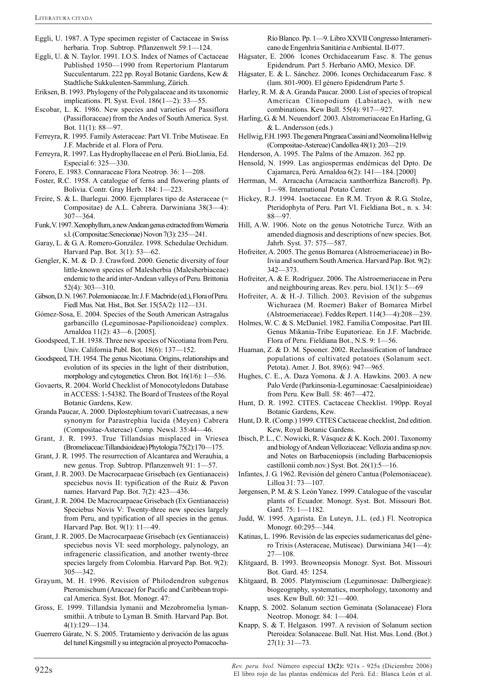- Eggli, U. 1987. A Type specimen register of Cactaceae in Swiss herbaria. Trop. Subtrop. Pflanzenwelt 59:1—124.
- Eggli, U. & N. Taylor. 1991. I.O.S. Index of Names of Cactaceae Published 1950—1990 from Repertorium Plantarum Succulentarum. 222 pp. Royal Botanic Gardens, Kew & Stadtliche Sukkulenten-Sammlung, Zürich.
- Eriksen, B. 1993. Phylogeny of the Polygalaceae and its taxonomic implications. Pl. Syst. Evol. 186(1—2): 33—55.
- Escobar, L. K. 1986. New species and varieties of Passiflora (Passifloraceae) from the Andes of South America. Syst. Bot. 11(1): 88—97.
- Ferreyra, R. 1995. Family Asteraceae: Part VI. Tribe Mutiseae. En J.F. Macbride et al. Flora of Peru.
- Ferreyra, R. 1997. Las Hydrophyllaceae en el Perú. BioLlania, Ed. Especial 6: 325—330.
- Forero, E. 1983. Connaraceae Flora Neotrop. 36: 1—208.
- Foster, R.C. 1958. A catalogue of ferns and flowering plants of Bolivia. Contr. Gray Herb. 184: 1—223.
- Freire, S. & L. Iharlegui. 2000. Ejemplares tipo de Asteraceae (= Compositae) de A.L. Cabrera. Darwiniana 38(3—4): 307—364.
- Funk, V. 1997. Xenophyllum, a new Andean genus extracted from Werneria s.l. (Compositae:Senecionae) Novon 7(3): 235—241.
- Garay, L. & G. A. Romero-González. 1998. Schedulae Orchidum. Harvard Pap. Bot. 3(1): 53—62.
- Gengler, K. M. & D. J. Crawford. 2000. Genetic diversity of four little-known species of Malesherbia (Malesherbiaceae) endemic to the arid inter-Andean valleys of Peru. Brittonia 52(4): 303—310.
- Gibson, D. N. 1967. Polemoniaceae. In: J. F. Macbride (ed.), Flora of Peru. Fiedl Mus. Nat. Hist., Bot. Ser. 15(5A/2): 112—131.
- Gómez-Sosa, E. 2004. Species of the South American Astragalus garbancillo (Leguminosae-Papilionoideae) complex. Arnaldoa 11(2): 43—6. [2005].
- Goodspeed, T..H. 1938. Three new species of Nicotiana from Peru. Univ. California Publ. Bot. 18(6): 137—152.
- Goodspeed, T.H. 1954. The genus Nicotiana. Origins, relationships and evolution of its species in the light of their distribution, morphology and cytogenetics. Chron. Bot. 16(1/6): 1—536.
- Govaerts, R. 2004. World Checklist of Monocotyledons Database in ACCESS: 1-54382. The Board of Trustees of the Royal Botanic Gardens, Kew.
- Granda Paucar, A. 2000. Diplostephium tovari Cuatrecasas, a new synonym for Parastrephia lucida (Meyen) Cabrera (Compositae-Astereae) Comp. Newsl. 35:44—46.
- Grant, J. R. 1993. True Tillandsias misplaced in Vriesea (Bromeliaceae:Tillandsioideae) Phytologia 75(2):170—175.
- Grant, J. R. 1995. The resurrection of Alcantarea and Werauhia, a new genus. Trop. Subtrop. Pflanzenwelt 91: 1—57.
- Grant, J. R. 2003. De Macrocarpaeae Grisebach (ex Gentianaceis) speciebus novis II: typification of the Ruiz & Pavon names. Harvard Pap. Bot. 7(2): 423—436.
- Grant, J. R. 2004. De Macrocarpaeae Grisebach (Ex Gentianaceis) Speciebus Novis V: Twenty-three new species largely from Peru, and typification of all species in the genus. Harvard Pap. Bot. 9(1): 11—49.
- Grant, J. R. 2005. De Macrocarpaeae Grisebach (ex Gentianaceis) speciebus novis VI: seed morphology, palynology, an infrageneric classification, and another twenty-three species largely from Colombia. Harvard Pap. Bot. 9(2): 305—342.
- Grayum, M. H. 1996. Revision of Philodendron subgenus Pteromischum (Araceae) for Pacific and Caribbean tropical America. Syst. Bot. Monogr. 47:
- Gross, E. 1999. Tillandsia lymanii and Mezobromelia lymansmithii. A tribute to Lyman B. Smith. Harvard Pap. Bot. 4(1):129—134.
- Guerrero Gárate, N. S. 2005. Tratamiento y derivación de las aguas del tunel Kingsmill y su integración al proyecto Pomacocha-

Río Blanco. Pp. 1—9. Libro XXVII Congresso Interamericano de Engenhria Sanitária e Ambiental. II-077.

- Hágsater, E. 2006 Icones Orchidacearum Fasc. 8. The genus Epidendrum. Part 5. Herbario AMO, Mexico. DF.
- Hágsater, E. & L. Sánchez. 2006. Icones Orchidacearum Fasc. 8 (lam. 801-900). El género Epidendrum Parte 5.
- Harley, R. M. & A. Granda Paucar. 2000. List of species of tropical American Clinopodium (Labiatae), with new combinations. Kew Bull. 55(4): 917—927.
- Harling, G. & M. Neuendorf. 2003. Alstromeriaceae En Harling, G. & L. Andersson (eds.)
- Hellwig, F.H. 1993. The genera Pingraea Cassini and Neomolina Hellwig (Compositae-Astereae) Candollea 48(1): 203—219.
- Henderson, A. 1995. The Palms of the Amazon. 362 pp.
- Hensold, N. 1999. Las angiospermas endémicas del Dpto. De Cajamarca, Perú. Arnaldoa 6(2): 141—184. [2000]
- Herrman, M. Arracacha (Arracacia xanthorrhiza Bancroft). Pp. 1—98. International Potato Center.
- Hickey, R.J. 1994. Isoetaceae. En R.M. Tryon & R.G. Stolze, Pteridophyta of Peru. Part VI. Fieldiana Bot., n. s. 34: 88—97.
- Hill, A.W. 1906. Note on the genus Nototriche Turcz. With an amended diagnosis and descriptions of new species. Bot. Jahrb. Syst. 37: 575—587.
- Hofreiter, A. 2005. The genus Bomarea (Alstroemeriaceae) in Bolivia and southern South America. Harvard Pap. Bot. 9(2): 342—373.
- Hofreiter, A. & E. Rodríguez. 2006. The Alstroemeriaceae in Peru and neighbouring areas. Rev. peru. biol. 13(1): 5—69
- Hofreiter, A. & H.-J. Tillich. 2003. Revision of the subgenus Wichuraea (M. Roemer) Baker of Bomarea Mirbel (Alstroemeriaceae). Feddes Repert. 114(3—4):208—239.
- Holmes, W. C. & S. McDaniel. 1982. Familia Compositae. Part III. Genus Mikania-Tribe Eupatorieae. En J.F. Macbride. Flora of Peru. Fieldiana Bot., N.S. 9: 1—56.
- Huaman, Z. & D. M. Spooner. 2002. Reclassification of landrace populations of cultivated potatoes (Solanum sect. Petota). Amer. J. Bot. 89(6): 947—965.
- Hughes, C. E., A. Daza Yomona. & J. A. Hawkins. 2003. A new Palo Verde (Parkinsonia-Leguminosae: Caesalpinioideae) from Peru. Kew Bull. 58: 467—472.
- Hunt, D. R. 1992. CITES. Cactaceae Checklist. 190pp. Royal Botanic Gardens, Kew.
- Hunt, D. R. (Comp.) 1999. CITES Cactaceae checklist, 2nd edition. Kew, Royal Botanic Gardens.
- Ibisch, P. L., C. Nowicki, R. Vásquez & K. Koch. 2001. Taxonomy and biology of Andean Velloziaceae: Vellozia andina sp.nov. and Notes on Barbaceniopsis (including Barbaceniopsis castillonii comb.nov.) Syst. Bot. 26(1):5—16.
- Infantes, J. G. 1962. Revisión del género Cantua (Polemoniaceae). Lilloa 31: 73—107.
- Jørgensen, P. M. & S. León Yanez. 1999. Catalogue of the vascular plants of Ecuador. Monogr. Syst. Bot. Missouri Bot. Gard. 75: 1—1182.
- Judd, W. 1995. Agarista. En Luteyn, J.L. (ed.) Fl. Neotropica Monogr. 60:295—344.
- Katinas, L. 1996. Revisión de las especies sudamericanas del género Trixis (Asteraceae, Mutiseae). Darwiniana 34(1—4): 27—108.
- Klitgaard, B. 1993. Browneopsis Monogr. Syst. Bot. Missouri Bot. Gard. 45: 1254.
- Klitgaard, B. 2005. Platymiscium (Leguminosae: Dalbergieae): biogeography, systematics, morphology, taxonomy and uses. Kew Bull. 60: 321—400.
- Knapp, S. 2002. Solanum section Geminata (Solanaceae) Flora Neotrop. Monogr. 84: 1—404.
- Knapp, S. & T. Helgason. 1997. A revision of Solanum section Pteroidea: Solanaceae. Bull. Nat. Hist. Mus. Lond. (Bot.) 27(1): 31—73.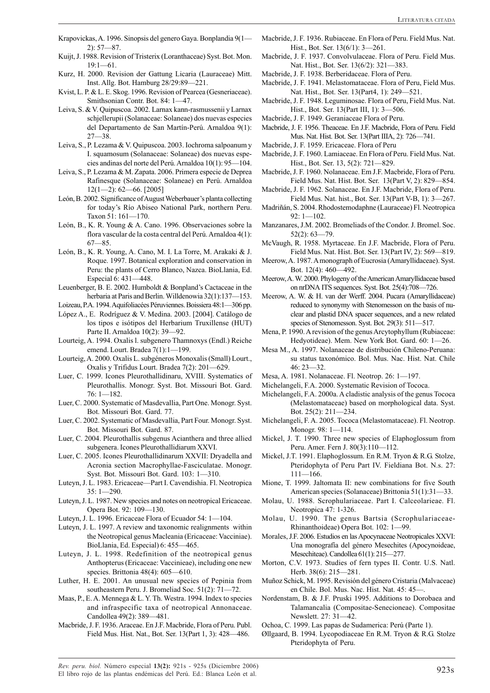- Krapovickas, A. 1996. Sinopsis del genero Gaya. Bonplandia 9(1— 2): 57—87.
- Kuijt, J. 1988. Revision of Tristerix (Loranthaceae) Syst. Bot. Mon. 19:1—61.
- Kurz, H. 2000. Revision der Gattung Licaria (Lauraceae) Mitt. Inst. Allg. Bot. Hamburg 28/29:89—221.
- Kvist, L. P. & L. E. Skog. 1996. Revision of Pearcea (Gesneriaceae). Smithsonian Contr. Bot. 84: 1—47.
- Leiva, S. & V. Quipuscoa. 2002. Larnax kann-rasmussenii y Larnax schjellerupii (Solanaceae: Solaneae) dos nuevas especies del Departamento de San Martín-Perú. Arnaldoa 9(1): 27—38.
- Leiva, S., P. Lezama & V. Quipuscoa. 2003. Iochroma salpoanum y I. squamosum (Solanaceae: Solaneae) dos nuevas especies andinas del norte del Perú. Arnaldoa 10(1): 95—104.
- Leiva, S., P. Lezama & M. Zapata. 2006. Primera especie de Deprea Rafinesque (Solanaceae: Solaneae) en Perú. Arnaldoa 12(1—2): 62—66. [2005]
- León, B. 2002. Significance of August Weberbauer's planta collecting for today's Río Abiseo National Park, northern Peru. Taxon 51: 161—170.
- León, B., K. R. Young & A. Cano. 1996. Observaciones sobre la flora vascular de la costa central del Perú. Arnaldoa 4(1): 67—85.
- León, B., K. R. Young, A. Cano, M. I. La Torre, M. Arakaki & J. Roque. 1997. Botanical exploration and conservation in Peru: the plants of Cerro Blanco, Nazca. BioLlania, Ed. Especial 6: 431—448.
- Leuenberger, B. E. 2002. Humboldt & Bonpland's Cactaceae in the herbaria at Paris and Berlin. Willdenowia 32(1):137-153.
- Loizeau, P.A. 1994. Aquifoliacées Péruviennes. Boissiera 48:1—306 pp.
- López A., E. Rodríguez & V. Medina. 2003. [2004]. Catálogo de los tipos e isótipos del Herbarium Truxillense (HUT) Parte II. Arnaldoa 10(2): 39—92.
- Lourteig, A. 1994. Oxalis l. subgenero Thamnoxys (Endl.) Reiche emend. Lourt. Bradea 7(1):1—199.
- Lourteig, A. 2000. Oxalis L. subgéneros Monoxalis (Small) Lourt., Oxalis y Trifidus Lourt. Bradea 7(2): 201—629.
- Luer, C. 1999. Icones Pleurothallidinaru, XVIII. Systematics of Pleurothallis. Monogr. Syst. Bot. Missouri Bot. Gard. 76: 1—182.
- Luer, C. 2000. Systematic of Masdevallia, Part One. Monogr. Syst. Bot. Missouri Bot. Gard. 77.
- Luer, C. 2002. Systematic of Masdevallia, Part Four. Monogr. Syst. Bot. Missouri Bot. Gard. 87.
- Luer, C. 2004. Pleurothallis subgenus Acianthera and three allied subgenera. Icones Pleurothallidiarum XXVI.
- Luer, C. 2005. Icones Pleurothallidinarum XXVII: Dryadella and Acronia section Macrophyllae-Fasciculatae. Monogr. Syst. Bot. Missouri Bot. Gard. 103: 1—310.
- Luteyn, J. L. 1983. Ericaceae—Part I. Cavendishia. Fl. Neotropica 35: 1—290.
- Luteyn, J. L. 1987. New species and notes on neotropical Ericaceae. Opera Bot. 92: 109—130.
- Luteyn, J. L. 1996. Ericaceae Flora of Ecuador 54: 1—104.
- Luteyn, J. L. 1997. A review and taxonomic realignments within the Neotropical genus Macleania (Ericaceae: Vacciniae). BioLlania, Ed. Especial) 6: 455—465.
- Luteyn, J. L. 1998. Redefinition of the neotropical genus Anthopterus (Ericaceae: Vaccinieae), including one new species. Brittonia 48(4): 605—610.
- Luther, H. E. 2001. An unusual new species of Pepinia from southeastern Peru. J. Bromeliad Soc. 51(2): 71—72.
- Maas, P., E. A. Mennega & L. Y. Th. Westra. 1994. Index to species and infraspecific taxa of neotropical Annonaceae. Candollea 49(2): 389—481.
- Macbride, J. F. 1936. Araceae. En J.F. Macbride, Flora of Peru. Publ. Field Mus. Hist. Nat., Bot. Ser. 13(Part 1, 3): 428—486.
- Macbride, J. F. 1936. Rubiaceae. En Flora of Peru. Field Mus. Nat. Hist., Bot. Ser. 13(6/1): 3—261.
- Macbride, J. F. 1937. Convolvulaceae. Flora of Peru. Field Mus. Nat. Hist., Bot. Ser. 13(6/2): 321—383.
- Macbride, J. F. 1938. Berberidaceae. Flora of Peru.
- Macbride, J. F. 1941. Melastomataceae. Flora of Peru, Field Mus. Nat. Hist., Bot. Ser. 13(Part4, 1): 249—521.
- Macbride, J. F. 1948. Leguminosae. Flora of Peru, Field Mus. Nat. Hist., Bot. Ser. 13(Part III, 1): 3—506.
- Macbride, J. F. 1949. Geraniaceae Flora of Peru.
- Macbride, J. F. 1956. Theaceae. En J.F. Macbride, Flora of Peru. Field Mus. Nat. Hist. Bot. Ser. 13(Part IIIA, 2): 726—741.
- Macbride, J. F. 1959. Ericaceae. Flora of Peru
- Macbride, J. F. 1960. Lamiaceae. En Flora of Peru. Field Mus. Nat. Hist., Bot. Ser. 13, 5(2): 721—829.
- Macbride, J. F. 1960. Nolanaceae. Em J.F. Macbride, Flora of Peru. Field Mus. Nat. Hist. Bot. Ser. 13(Part V, 2): 829—854.
- Macbride, J. F. 1962. Solanaceae. En J.F. Macbride, Flora of Peru. Field Mus. Nat. hist., Bot. Ser. 13(Part V-B, 1): 3—267.
- Madriñán, S. 2004. Rhodostemodaphne (Lauraceae) Fl. Neotropica 92: 1—102.
- Manzanares, J.M. 2002. Bromeliads of the Condor. J. Bromel. Soc. 52(2): 63—79.
- McVaugh, R. 1958. Myrtaceae. En J.F. Macbride, Flora of Peru. Field Mus. Nat. Hist. Bot. Ser. 13(Part IV, 2): 569—819.
- Meerow, A. 1987. A monograph of Eucrosia (Amaryllidaceae). Syst. Bot. 12(4): 460—492.
- Meerow, A. W. 2000. Phylogeny of the American Amaryllidaceae based on nrDNA ITS sequences. Syst. Bot. 25(4):708—726.
- Meerow, A. W. & H. van der Werff. 2004. Pucara (Amaryllidaceae) reduced to synonymy with Stenomesson on the basis of nuclear and plastid DNA spacer sequences, and a new related species of Stenomesson. Syst. Bot. 29(3): 511-517.
- Mena, P. 1990. A revision of the genus Arcytophyllum (Rubiaceae: Hedyotideae). Mem. New York Bot. Gard. 60: 1—26.
- Mesa M., A. 1997. Nolanaceae de distribución Chileno-Peruana: su status taxonómico. Bol. Mus. Nac. Hist. Nat. Chile 46: 23—32.
- Mesa, A. 1981. Nolanaceae. Fl. Neotrop. 26: 1—197.
- Michelangeli, F.A. 2000. Systematic Revision of Tococa.
- Michelangeli, F.A. 2000a. A cladistic analysis of the genus Tococa (Melastomataceae) based on morphological data. Syst. Bot. 25(2): 211—234.
- Michelangeli, F. A. 2005. Tococa (Melastomataceae). Fl. Neotrop. Monogr. 98: 1—114.
- Mickel, J. T. 1990. Three new species of Elaphoglossum from Peru. Amer. Fern J. 80(3):110—112.
- Mickel, J.T. 1991. Elaphoglossum. En R.M. Tryon & R.G. Stolze, Pteridophyta of Peru Part IV. Fieldiana Bot. N.s. 27: 111—166.
- Mione, T. 1999. Jaltomata II: new combinations for five South American species (Solanaceae) Brittonia 51(1):31—33.
- Molau, U. 1988. Scrophulariaceae. Part I. Calceolarieae. Fl. Neotropica 47: 1-326.
- Molau, U. 1990. The genus Bartsia (Scrophulariaceae-Rhinanthoideae) Opera Bot. 102: 1—99.
- Morales, J.F. 2006. Estudios en las Apocynaceae Neotropicales XXVI: Una monografía del género Mesechites (Apocynoideae, Mesechiteae). Candollea 61(1): 215—277.
- Morton, C.V. 1973. Studies of fern types II. Contr. U.S. Natl. Herb. 38(6): 215—281.
- Muñoz Schick, M. 1995. Revisión del género Cristaria (Malvaceae) en Chile. Bol. Mus. Nac. Hist. Nat. 45: 45-
- Nordenstam, B. & J.F. Pruski 1995. Additions to Dorobaea and Talamancalia (Compositae-Senecioneae). Compositae Newslett. 27: 31—42.
- Ochoa, C. 1999. Las papas de Sudamerica: Perú (Parte 1).
- Øllgaard, B. 1994. Lycopodiaceae En R.M. Tryon & R.G. Stolze Pteridophyta of Peru.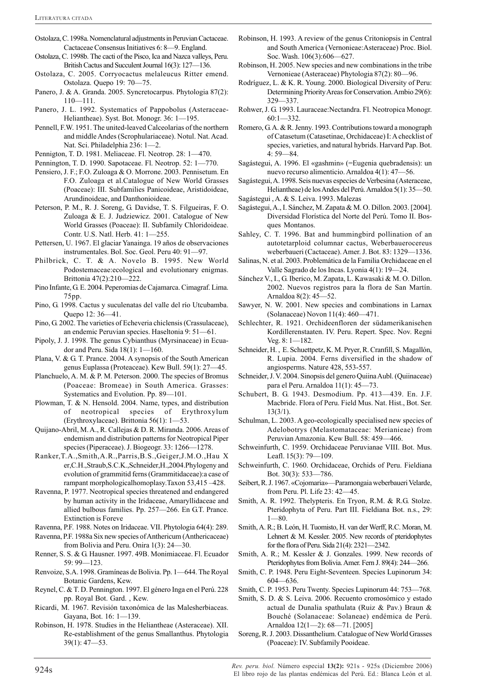- Ostolaza, C. 1998a. Nomenclatural adjustments in Peruvian Cactaceae. Cactaceae Consensus Initiatives 6: 8—9. England.
- Ostolaza, C. 1998b. The cacti of the Pisco, Ica and Nazca valleys, Peru. British Cactus and Succulent Journal 16(3): 127—136.
- Ostolaza, C. 2005. Corryocactus melaleucus Ritter emend. Ostolaza. Quepo 19: 70—75.
- Panero, J. & A. Granda. 2005. Syncretocarpus. Phytologia 87(2): 110—111.
- Panero, J. L. 1992. Systematics of Pappobolus (Asteraceae-Heliantheae). Syst. Bot. Monogr. 36: 1—195.
- Pennell, F.W. 1951. The united-leaved Calceolarias of the northern and middle Andes (Scrophulariaceae). Notul. Nat. Acad. Nat. Sci. Philadelphia 236: 1—2.
- Pennigton, T. D. 1981. Meliaceae. Fl. Neotrop. 28: 1—470.
- Pennington, T. D. 1990. Sapotaceae. Fl. Neotrop. 52: 1—770.
- Pensiero, J. F.; F.O. Zuloaga & O. Morrone. 2003. Pennisetum. En F.O. Zuloaga et al.Catalogue of New World Grasses (Poaceae): III. Subfamilies Panicoideae, Aristidoideae, Arundinoideae, and Danthonioideae.
- Peterson, P. M., R. J. Soreng, G. Davidse, T. S. Filgueiras, F. O. Zuloaga & E. J. Judziewicz. 2001. Catalogue of New World Grasses (Poaceae): II. Subfamily Chloridoideae. Contr. U.S. Natl. Herb. 41: 1—255.
- Pettersen, U. 1967. El glaciar Yanainga. 19 años de observaciones instrumentales. Bol. Soc. Geol. Peru 40: 91—97.
- Philbrick, C. T. & A. Novelo B. 1995. New World Podostemaceae:ecological and evolutionary enigmas. Brittonia 47(2):210—222.
- Pino Infante, G. E. 2004. Peperomias de Cajamarca. Cimagraf. Lima. 75pp.
- Pino, G. 1998. Cactus y suculenatas del valle del río Utcubamba. Quepo 12: 36—41.
- Pino, G. 2002. The varieties of Echeveria chiclensis (Crassulaceae), an endemic Peruvian species. Haseltonia 9: 51—61.
- Pipoly, J. J. 1998. The genus Cybianthus (Myrsinaceae) in Ecuador and Peru. Sida 18(1): 1—160.
- Plana, V. & G. T. Prance. 2004. A synopsis of the South American genus Euplassa (Proteaceae). Kew Bull. 59(1): 27—45.
- Planchuelo, A. M. & P. M. Peterson. 2000. The species of Bromus (Poaceae: Bromeae) in South America. Grasses: Systematics and Evolution. Pp. 89—101.
- Plowman, T. & N. Hensold. 2004. Name, types, and distribution of neotropical species of Erythroxylum (Erythroxylaceae). Brittonia 56(1): 1—53.
- Quijano-Abril, M. A., R. Callejas & D. R. Miranda. 2006. Areas of endemism and distribution patterns for Neotropical Piper species (Piperaceae). J. Biogeogr. 33: 1266—1278.
- Ranker,T.A.,Smith,A.R.,Parris,B.S.,Geiger,J.M.O.,Hau X er,C.H.,Straub,S.C.K.,Schneider,H.,2004.Phylogeny and evolution of grammitid ferns (Grammitidaceae):a case of rampant morphologicalhomoplasy.Taxon 53,415 –428.
- Ravenna, P. 1977. Neotropical species threatened and endangered by human activity in the Iridaceae, Amaryllidaceae and allied bulbous families. Pp. 257—266. En G.T. Prance. Extinction is Foreve
- Ravenna, P.F. 1988. Notes on Iridaceae. VII. Phytologia 64(4): 289.
- Ravenna, P.F. 1988a Six new species of Anthericum (Anthericaceae) from Bolivia and Peru. Onira 1(3): 24—30.
- Renner, S. S. & G. Hausner. 1997. 49B. Monimiaceae. Fl. Ecuador 59: 99—123.
- Renvoize, S.A. 1998. Gramíneas de Bolivia. Pp. 1—644. The Royal Botanic Gardens, Kew.
- Reynel, C. & T. D. Pennington. 1997. El género Inga en el Perú. 228 pp. Royal Bot. Gard. , Kew.
- Ricardi, M. 1967. Revisión taxonómica de las Malesherbiaceas. Gayana, Bot. 16: 1—139.
- Robinson, H. 1978. Studies in the Heliantheae (Asteraceae). XII. Re-establishment of the genus Smallanthus. Phytologia 39(1): 47—53.
- Robinson, H. 1993. A review of the genus Critoniopsis in Central and South America (Vernonieae:Asteraceae) Proc. Biol. Soc. Wash. 106(3):606—627.
- Robinson, H. 2005. New species and new combinations in the tribe Vernonieae (Asteraceae) Phytologia 87(2): 80—96.
- Rodríguez, L. & K. R. Young. 2000. Biological Diversity of Peru: Determining Priority Areas for Conservation. Ambio 29(6): 329—337.
- Rohwer, J. G. 1993. Lauraceae:Nectandra. Fl. Neotropica Monogr.  $60:1 - 332.$
- Romero, G. A. & R. Jenny. 1993. Contributions toward a monograph of Catasetum (Catasetinae, Orchidaceae) I: A checklist of species, varieties, and natural hybrids. Harvard Pap. Bot. 4: 59—84.
- Sagástegui, A. 1996. El «gashmin» (=Eugenia quebradensis): un nuevo recurso alimenticio. Arnaldoa 4(1): 47—56.
- Sagástegui, A. 1998. Seis nuevas especies de Verbesina (Asteraceae, Heliantheae) de los Andes del Perú. Arnaldoa 5(1): 35—50.
- Sagástegui , A. & S. Leiva. 1993. Malezas
- Sagástegui, A., I. Sánchez, M. Zapata & M. O. Dillon. 2003. [2004]. Diversidad Florística del Norte del Perú. Tomo II. Bosques Montanos.
- Sahley, C. T. 1996. Bat and hummingbird pollination of an autotetarploid columnar cactus, Weberbauerocereus weberbaueri (Cactaceae). Amer. J. Bot. 83: 1329—1336.
- Salinas, N. et al. 2003. Problemática de la Familia Orchidaceae en el Valle Sagrado de los Incas. Lyonia 4(1): 19—24.
- Sánchez V., I., G. Iberico, M. Zapata, L. Kawasaki & M. O. Dillon. 2002. Nuevos registros para la flora de San Martín. Arnaldoa 8(2): 45—52.
- Sawyer, N. W. 2001. New species and combinations in Larnax (Solanaceae) Novon 11(4): 460—471.
- Schlechter, R. 1921. Orchideenfloren der südamerikanisehen Kordillerenstaaten. IV. Peru. Repert. Spec. Nov. Regni Veg. 8: 1—182.
- Schneider, H. , E. Schuettpetz, K. M. Pryer, R. Cranfill, S. Magallón, R. Lupia. 2004. Ferns diversified in the shadow of angiosperms. Nature 428, 553-557.
- Schneider, J. V. 2004. Sinopsis del genero Quiina Aubl. (Quiinaceae) para el Peru. Arnaldoa 11(1): 45—73.
- Schubert, B. G. 1943. Desmodium. Pp. 413—439. En. J.F. Macbride. Flora of Peru. Field Mus. Nat. Hist., Bot. Ser. 13(3/1).
- Schulman, L. 2003. A geo-ecologically specialised new species of Adelobotrys (Melastomataceae: Merianieae) from Peruvian Amazonia. Kew Bull. 58: 459—466.
- Schweinfurth, C. 1959. Orchidaceae Peruvianae VIII. Bot. Mus. Leafl. 15(3): 79—109.
- Schweinfurth, C. 1960. Orchidaceae, Orchids of Peru. Fieldiana Bot. 30(3): 533—786.
- Seibert, R. J. 1967. «Cojomaria»—Paramongaia weberbaueri Velarde, from Peru. Pl. Life 23: 42—45.
- Smith, A. R. 1992. Thelypteris. En Tryon, R.M. & R.G. Stolze. Pteridophyta of Peru. Part III. Fieldiana Bot. n.s., 29: 1—80.
- Smith, A. R.; B. León, H. Tuomisto, H. van der Werff, R.C. Moran, M. Lehnert & M. Kessler. 2005. New records of pteridophytes for the flora of Peru. Sida 21(4): 2321—2342.
- Smith, A. R.; M. Kessler & J. Gonzales. 1999. New records of Pteridophytes from Bolivia. Amer. Fern J. 89(4): 244—266.
- Smith, C. P. 1948. Peru Eight-Seventeen. Species Lupinorum 34: 604—636.
- Smith, C. P. 1953. Peru Twenty. Species Lupinorum 44: 753—768.
- Smith, S. D. & S. Leiva. 2006. Recuento cromosómico y estado actual de Dunalia spathulata (Ruiz & Pav.) Braun & Bouché (Solanaceae: Solaneae) endémica de Perú. Arnaldoa 12(1—2): 68—71. [2005]
- Soreng, R. J. 2003. Dissanthelium. Catalogue of New World Grasses (Poaceae): IV. Subfamily Pooideae.